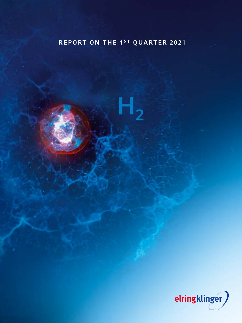

<span id="page-0-0"></span>REPORT ON THE 1ST QUARTER 2021

 $H_2$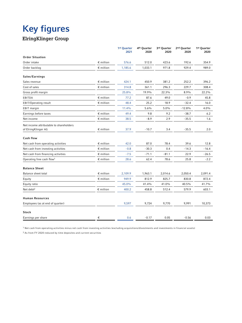# Key figures

### ElringKlinger Group

|                                                                |                    | 1st Quarter<br>2021 | 4 <sup>th</sup> Quarter<br>2020 | 3rd Quarter<br>2020 | 2 <sup>nd</sup> Quarter<br>2020 | 1st Quarter<br>2020 |
|----------------------------------------------------------------|--------------------|---------------------|---------------------------------|---------------------|---------------------------------|---------------------|
| <b>Order Situation</b>                                         |                    |                     |                                 |                     |                                 |                     |
| Order intake                                                   | $\epsilon$ million | 576.6               | 512.0                           | 423.6               | 192.6                           | 354.9               |
| Order backlog                                                  | $\epsilon$ million | 1,185.6             | 1,033.1                         | 971.8               | 929.4                           | 989.0               |
| Sales/Earnings                                                 |                    |                     |                                 |                     |                                 |                     |
| Sales revenue                                                  | $\epsilon$ million | 424.1               | 450.9                           | 381.2               | 252.2                           | 396.2               |
| Cost of sales                                                  | $\epsilon$ million | 314.8               | 361.1                           | 296.3               | 229.7                           | 308.4               |
| Gross profit margin                                            |                    | 25.8%               | 19.9%                           | 22.3%               | 8.9%                            | 22.2%               |
| EBITDA                                                         | $\epsilon$ million | 77.2                | 87.6                            | 49.0                | $-0.9$                          | 45.8                |
| <b>EBIT/Operating result</b>                                   | $\epsilon$ million | 48.4                | 25.2                            | 18.9                | $-32.4$                         | 16.0                |
| EBIT margin                                                    |                    | 11.4%               | 5.6%                            | 5.0%                | $-12.8%$                        | 4.0%                |
| Earnings before taxes                                          | $\epsilon$ million | 49.4                | 9.8                             | 9.2                 | $-38.7$                         | 6.2                 |
| Net income                                                     | $\epsilon$ million | 38.5                | - 8.9                           | 2.9                 | $-35.5$                         | 1.6                 |
| Net income attributable to shareholders<br>of ElringKlinger AG | $\epsilon$ million | 37.9                | $-10.7$                         | 3.4                 | $-35.5$                         | 2.0                 |
| Cash flow                                                      |                    |                     |                                 |                     |                                 |                     |
| Net cash from operating activities                             | $\epsilon$ million | 42.0                | 87.0                            | 78.4                | 39.6                            | 12.8                |
| Net cash from investing activities                             | $\epsilon$ million | $-0.8$              | $-30.3$                         | 0.4                 | $-14.3$                         | $-16.4$             |
| Net cash from financing activities                             | $\epsilon$ million | $-7.5$              | $-71.1$                         | $-81.1$             | 22.9                            | $-26.5$             |
| Operating free cash flow <sup>1</sup>                          | $\epsilon$ million | 28.6                | 62.4                            | 78.6                | 25.8                            | $-2.2$              |
| <b>Balance Sheet</b>                                           |                    |                     |                                 |                     |                                 |                     |
| Balance sheet total                                            | $\epsilon$ million | 2,109.9             | 1,963.1                         | 2,014.6             | 2,050.4                         | 2,091.4             |
| Equity                                                         | $\epsilon$ million | 949.9               | 812.9                           | 825.7               | 830.8                           | 872.4               |
| Equity ratio                                                   |                    | 45.0%               | 41.4%                           | 41.0%               | 40.5%                           | 41.7%               |
| Net debt <sup>2</sup>                                          | $\epsilon$ million | 400.2               | 458.8                           | 512.4               | 579.9                           | 603.1               |
| <b>Human Resources</b>                                         |                    |                     |                                 |                     |                                 |                     |
| Employees (as at end of quarter)                               |                    | 9,597               | 9,724                           | 9,770               | 9,991                           | 10,373              |
| <b>Stock</b>                                                   |                    |                     |                                 |                     |                                 |                     |
| Earnings per share                                             | €                  | 0.6                 | $-0.17$                         | 0.05                | $-0.56$                         | 0.03                |

1 Net cash from operating activities minus net cash from investing activities (excluding acquisitions/divestments and investments in financial assets) 2 As from FY 2020 reduced by time deposites and current securities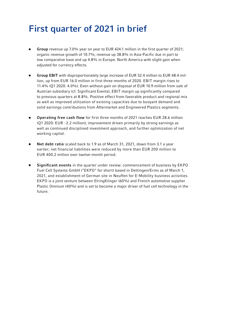# First quarter of 2021 in brief

- Group revenue up 7.0% year on year to EUR 424.1 million in the first quarter of 2021; organic revenue growth of 10.7%; revenue up 38.8% in Asia-Pacific due in part to low comparative base and up 4.8% in Europe. North America with slight gain when adjusted for currency effects.
- Group EBIT with disproportionately large increase of EUR 32.4 million to EUR 48.4 million, up from EUR 16.0 million in first three months of 2020. EBIT margin rises to 11.4% (Q1 2020: 4.0%). Even without gain on disposal of EUR 10.9 million from sale of Austrian subsidiary (cf. Significant Events), EBIT margin up significantly compared to previous quarters at 8.8%. Positive effect from favorable product and regional mix as well as improved utilization of existing capacities due to buoyant demand and solid earnings contributions from Aftermarket and Engineered Plastics segments.
- Operating free cash flow for first three months of 2021 reaches EUR 28.6 million  $\bullet$ (Q1 2020: EUR -2.2 million); improvement driven primarily by strong earnings as well as continued disciplined investment approach, and further optimization of net working capital.
- Net debt ratio scaled back to 1.9 as of March 31, 2021, down from 3.1 a year earlier; net financial liabilities were reduced by more than EUR 200 million to EUR 400.2 million over twelve-month period.
- Significant events in the quarter under review: commencement of business by EKPO Fuel Cell Systems GmbH ("EKPO" for short) based in Dettingen/Erms as of March 1, 2021, and establishment of German site in Neuffen for E-Mobility business activities. EKPO is a joint venture between ElringKlinger (60%) and French automotive supplier Plastic Omnium (40%) and is set to become a major driver of fuel cell technology in the future.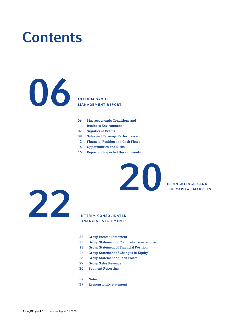# **Contents**

### INTERIM GROUP MANAGEMENT REPORT

- Macroeconomic Conditions and Business Environment
- Significant Events
- Sales and Earnings Performance
- Financial Position and Cash Flows
- Opportunities and Risks
- [6](#page-0-0) Report on Expected Developments



### INTERIM CONSOLIDATED FINANCIAL STATEMENTS

- Group Income Statement
- [3](#page-0-0) Group Statement of Comprehensive Income

ELRINGKLINGER AND ELRINGKLINGER AND

- [4](#page-0-0) Group Statement of Financial Position
- Group Statement of Changes in Equity
- Group Statement of Cash Flows
- Group Sales Revenue
- Segment Reporting
- Notes
- Responsibility statement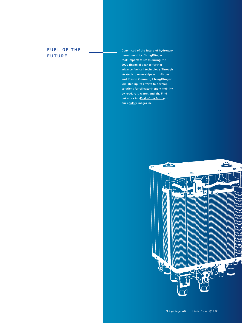### **FUEL OF THE** FUTURE

Convinced of the future of hydrogenbased mobility, ElringKlinger took important steps during the 2020 financial year to further advance fuel cell technology. Through strategic partnerships with Airbus and Plastic Omnium, ElringKlinger will step up its efforts to develop solutions for climate-friendly mobility by road, rail, water, and air. Find out more in [»Fuel of the future«](https://www.elringklinger.de/en/company/pulse-magazine/fuel-of-the-future) in our [»pulse«](https://www.elringklinger.de/de/unternehmen/pulse-magazin) magazine.

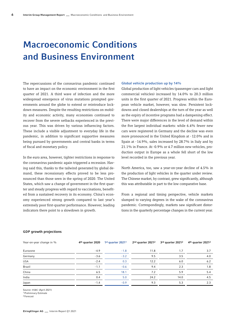# Macroeconomic Conditions and Business Environment

The repercussions of the coronavirus pandemic continued to have an impact on the economic environment in the first quarter of 2021. A third wave of infection and the more widespread emergence of virus mutations prompted governments around the globe to extend or reintroduce lockdown measures. Despite the resulting restrictions on mobility and economic activity, many economies continued to recover from the severe setbacks experienced in the previous year. This was driven by various influencing factors. These include a visible adjustment to everyday life in the pandemic, in addition to significant supportive measures being pursued by governments and central banks in terms of fiscal and monetary policy.

In the euro area, however, tighter restrictions in response to the coronavirus pandemic again triggered a recession. Having said this, thanks to the tailwind generated by global demand, these recessionary effects proved to be less pronounced than those seen in the spring of 2020. The United States, which saw a change of government in the first quarter and steady progress with regard to vaccinations, benefited from a sustained recovery in its economy. China's economy experienced strong growth compared to last year's extremely poor first-quarter performance. However, leading indicators there point to a slowdown in growth.

#### Global vehicle production up by 14%

Global production of light vehicles (passenger cars and light commercial vehicles) increased by 14.0% to 20.3 million units in the first quarter of 2021. Progress within the European vehicle market, however, was slow. Persistent lockdowns and closed dealerships at the turn of the year as well as the expiry of incentive programs had a dampening effect. There were major differences in the level of demand within the five largest individual markets: while 6.4% fewer new cars were registered in Germany and the decline was even more pronounced in the United Kingdom at -12.0% and in Spain at -14.9%, sales increased by 28.7% in Italy and by 21.1% in France. At -0.9% or 4.7 million new vehicles, production output in Europe as a whole fell short of the low level recorded in the previous year.

North America, too, saw a year-on-year decline of 4.5% in the production of light vehicles in the quarter under review. The Chinese market, by contrast, grew significantly, although this was attributable in part to the low comparative base.

From a regional and timing perspective, vehicle markets slumped to varying degrees in the wake of the coronavirus pandemic. Correspondingly, markets saw significant distortions in the quarterly percentage changes in the current year.

| Year-on-year change in % | 4 <sup>th</sup> quarter 2020 | 1st quarter 20211 | 2nd quarter 20212 | 3rd quarter 20212 | 4 <sup>th</sup> quarter 2021 <sup>2</sup> |
|--------------------------|------------------------------|-------------------|-------------------|-------------------|-------------------------------------------|
| Eurozone                 | $-4.9$                       | $-1.8$            | 11.8              | 1.7               | 3.7                                       |
| Germany                  | $-3.6$                       | $-3.2$            | 9.5               | 3.5               | 4.0                                       |
| USA                      | $-2.4$                       | 0.3               | 12.2              | 6.0               | 6.2                                       |
| Brazil                   | $-1.1$                       | $-0.6$            | 9.4               | 2.3               | 1.8                                       |
| China                    | 6.5                          | 18.1              | 7.2               | 5.9               | 5.4                                       |
| India                    | 0.4                          | 5.0               | 24.2              | 14.0              | 4.5                                       |
| Japan                    | $-1.4$                       | $-0.9$            | 9.3               | 5.3               | 2.3                                       |

#### GDP growth projections

Source: HSBC (April 2021)

1Preliminary Estimate

2Forecast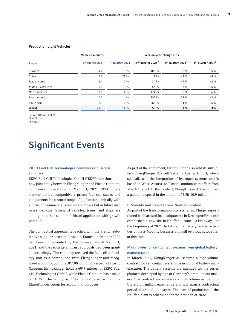7

#### Production Light Vehicles

|                     | <b>Vehicles millions</b>     |                  | Year-on-year-change in %                  |                               |                                           |
|---------------------|------------------------------|------------------|-------------------------------------------|-------------------------------|-------------------------------------------|
| Region              | 1 <sup>st</sup> quarter 2021 | 1st quarter 2021 | 2 <sup>nd</sup> quarter 2021 <sup>2</sup> | 3rd quarter 2021 <sup>2</sup> | 4 <sup>th</sup> quarter 2021 <sup>2</sup> |
| Europe <sup>1</sup> | 4.7                          | $-1\%$           | 108%                                      | $-2\%$                        | $-5%$                                     |
| China               | 5.8                          | 77%              | $-2\%$                                    | $-7%$                         | $-8%$                                     |
| Japan/Korea         | 3.1                          | $0\%$            | 34 %                                      | $-4%$                         | $-2\%$                                    |
| Middle East/Africa  | 0.5                          | $-1%$            | 56 %                                      | $8\%$                         | $5\%$                                     |
| North America       | 3.6                          | $-4%$            | 174 %                                     | $5\%$                         | $6\%$                                     |
| South America       | 0.7                          | 4%               | 287 %                                     | 21%                           | $-2\%$                                    |
| South Asia          | 2.1                          | 9%               | 283 %                                     | $11\%$                        | $-5\%$                                    |
| World               | 20.3                         | 14%              | 58%                                       | $-1%$                         | $-3%$                                     |

Source: IHS April 2021 1 incl. Russia 2Forecast

### Significant Events

#### EKPO Fuel Cell Technologies commences business activities

EKPO Fuel Cell Technologies GmbH ("EKPO" for short), the new joint entity between ElringKlinger and Plastic Omnium, commenced operations on March 1, 2021. EKPO offers state-of-the-art, competitively priced fuel cell stacks and components for a broad range of applications, initially with a focus on commercial vehicles and buses but in future also passenger cars. Specialist vehicles, trains, and ships are among the other suitable fields of application with growth potential.

The contractual agreements reached with the French automotive supplier based in Levallois, France, in October 2020 had been implemented by the closing date of March 1, 2021, and the requisite antitrust approvals had been granted accordingly. The company received the fuel cell technology unit as a contribution from ElringKlinger and recognized a contribution of EUR 100 million in respect of Plastic Omnium. ElringKlinger holds a 60% interest in EKPO Fuel Cell Technologies GmbH, while Plastic Omnium has a stake of 40%. The entity is fully consolidated within the ElringKlinger Group for accounting purposes.

As part of the agreement, ElringKlinger also sold its subsidiary ElringKlinger Fuelcell Systems Austria GmbH, which specializes in the integration of hydrogen systems and is based in Wels, Austria, to Plastic Omnium with effect from March 1, 2021. In this context, ElringKlinger AG recognized a gain on disposal in the amount of EUR 10.9 million.

#### E-Mobility unit based at new Neuffen location

As part of the transformation process, ElringKlinger repositioned itself around its headquarters in Dettingen/Erms and established a new site in Neuffen – some 10 km away – at the beginning of 2021. In future, the battery-related activities of the E-Mobility business unit will be brought together at this site.

#### Major order for cell contact systems from global battery manufacturer

In March 2021, ElringKlinger AG secured a high-volume contract for cell contact systems from a global battery manufacturer. The battery systems are intended for the series platform developed by one of Germany's premium car makers. The contract encompasses a total volume in the midtriple-digit million euro range and will span a contractual period of around nine years. The start of production at the Neuffen plant is scheduled for the first half of 2022.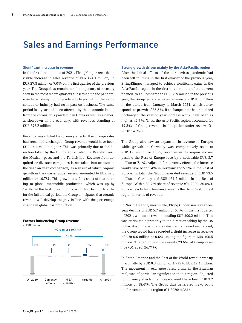### Sales and Earnings Performance

#### Significant increase in revenue

In the first three months of 2021, ElringKlinger recorded a visible increase in sales revenue of EUR 424.1 million, up EUR 27.8 million or 7.0% on the first quarter of the previous year. The Group thus remains on the trajectory of recovery seen in the most recent quarters subsequent to the pandemic-induced slump. Supply-side shortages within the semiconductor industry had no impact on business. The same period last year had been affected by the economic fallout from the coronavirus pandemic in China as well as a general slowdown in the economy, with revenues standing at EUR 396.2 million.

Revenue was diluted by currency effects. If exchange rates had remained unchanged, Group revenue would have been EUR 14.4 million higher. This was primarily due to the direction taken by the US dollar, but also the Brazilian real, the Mexican peso, and the Turkish lira. Revenue from acquired or divested companies is not taken into account in the year-on-year comparison, as a result of which organic growth in the quarter under review amounted to EUR 42.3 million or 10.7%. This growth rate falls short of that relating to global automobile production, which was up by 14.0% in the first three months according to IHS data. As for the full annual period, the Group anticipates that organic revenue will develop roughly in line with the percentage change in global car production.

#### Factors influencing Group revenue in EUR million



#### Strong growth driven mainly by the Asia-Pacific region

After the initial effects of the coronavirus pandemic had been felt in China in the first quarter of the previous year, ElringKlinger managed to achieve significant gains in the Asia-Pacific region in the first three months of the current financial year. Compared to EUR 58.9 million in the previous year, the Group generated sales revenue of EUR 81.8 million in the period from January to March 2021, which corresponds to growth of 38.8%. If exchange rates had remained unchanged, the year-on-year increase would have been as high as 42.7%. Thus, the Asia-Pacific region accounted for 19.3% of Group revenue in the period under review (Q1 2020: 14.9%).

The Group also saw an expansion in revenue in Europe: while growth in Germany was comparatively solid at EUR 1.6 million or 1.8%, revenues in the region encompassing the Rest of Europe rose by a noticeable EUR 8.7 million or 7.1%. Adjusted for currency effects, the increase would have been 2.4% in Germany and 9.1% in the Rest of Europe. In total, the Group generated revenue of EUR 93.5 million in Germany and EUR 131.2 million in the Rest of Europe. With a 30.9% share of revenue (Q1 2020: 30.8%), Europe (excluding Germany) remains the Group's strongest region in terms of revenue.

In North America, meanwhile, ElringKlinger saw a year-onyear decline of EUR 5.7 million or 5.4% in the first quarter of 2021, with sales revenue totaling EUR 100.2 million. This was attributable primarily to the direction taking by the US dollar. Assuming exchange rates had remained unchanged, the Group would have recorded a slight increase in revenue of EUR 0.6 million or 0.6%, taking the figure to EUR 106.5 million. The region now represents 23.6% of Group revenue (Q1 2020: 26.7%).

In South America and the Rest of the World revenue was up marginally by EUR 0.3 million or 1.9% to EUR 17.4 million. The movement in exchange rates, primarily the Brazilian real, was of particular significance in this region. Adjusted for currency effects, the increase would have been EUR 3.2 million or 18.4%. The Group thus generated 4.2% of its total revenue in this region (Q1 2020: 4.3%).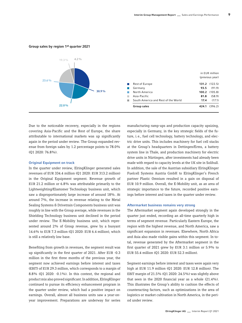#### Group sales by region 1st quarter 2021



Due to the noticeable recovery, especially in the regions covering Asia-Pacific and the Rest of Europe, the share attributable to international markets was up significantly again in the period under review. The Group expanded revenue from foreign sales by 1.2 percentage points to 78.0% (Q1 2020: 76.8%).

#### Original Equipment on track

In the quarter under review, ElringKlinger generated sales revenues of EUR 334.4 million (Q1 2020: EUR 313.2 million) in the Original Equipment segment. Revenue growth of EUR 21.2 million or 6.8% was attributable primarily to the Lightweighting/Elastomer Technology business unit, which saw a disproportionately large increase of around 18%. At around 7%, the increase in revenue relating to the Metal Sealing Systems & Drivetrain Components business unit was roughly in line with the Group average, while revenues in the Shielding Technology business unit declined in the period under review. The E-Mobility business unit, which represented around 2% of Group revenue, grew by a buoyant 14.6% to EUR 7.3 million (Q1 2020: EUR 6.4 million), which is still a relatively low base.

Benefiting from growth in revenues, the segment result was up significantly in the first quarter of 2021. After EUR -0.3 million in the first three months of the previous year, the segment now achieved earnings before interest and taxes (EBIT) of EUR 29.3 million, which corresponds to a margin of 8.8% (Q1 2020: -0.1%). In this context, the regional and product mix also proved significant. In addition, ElringKlinger continued to pursue its efficiency enhancement program in the quarter under review, which had a positive impact on earnings. Overall, almost all business units saw a year-onyear improvement. Preparations are underway for series

manufacturing ramp-ups and production capacity upsizing, especially in Germany, in the key strategic fields of the future, i.e., fuel cell technology, battery technology, and electric drive units. This includes machinery for fuel cell stacks at the Group's headquarters in Dettingen/Erms, a battery system line in Thale, and production machinery for electric drive units in Nürtingen, after investments had already been made with regard to capacity levels at the UK site in Solihull. In addition, the sale of the Austrian subsidiary ElringKlinger Fuelcell Systems Austria GmbH to ElringKlinger's French partner Plastic Omnium resulted in a gain on disposal of EUR 10.9 million. Overall, the E-Mobility unit, as an area of strategic importance to the future, recorded positive earnings before interest and taxes in the quarter under review.

#### Aftermarket business remains very strong

The Aftermarket segment again developed strongly in the quarter just ended, recording an all-time quarterly high in terms of segment revenue. Particularly Eastern Europe, the region with the highest revenue, and North America, saw a significant expansion in revenues. Elsewhere, North Africa and Asia also made visible gains within this segment. In total, revenue generated by the Aftermarket segment in the first quarter of 2021 grew by EUR 3.1 million or 5.9% to EUR 55.4 million (Q1 2020: EUR 52.3 million).

Segment earnings before interest and taxes were again very high at EUR 11.9 million (Q1 2020: EUR 12.8 million). The EBIT margin of 21.5% (Q1 2020: 24.5%) was slightly above that seen in the 2020 financial year as a whole (21.4%). This illustrates the Group's ability to cushion the effects of counteracting factors, such as optimizations in the area of logistics or market cultivation in North America, in the period under review.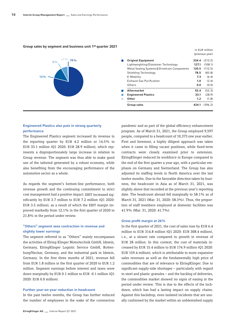#### Group sales by segment and business unit 1st quarter 2021



#### Engineered Plastics also puts in strong quarterly performance

The Engineered Plastics segment increased its revenue in the reporting quarter by EUR 4.2 million or 14.5% to EUR 33.1 million (Q1 2020: EUR 28.9 million), which represents a disproportionately large increase in relation to Group revenue. The segment was thus able to make good use of the tailwind generated by a robust economy, while also benefiting from the encouraging performance of the automotive sector as a whole.

As regards the segment's bottom-line performance, both revenue growth and the continuing commitment to strict cost management had a positive impact. EBIT increased significantly by EUR 3.7 million to EUR 7.2 million (Q1 2020: EUR 3.5 million), as a result of which the EBIT margin improved markedly from 12.1% in the first quarter of 2020 to 21.8% in the period under review.

#### "Others" segment sees contraction in revenue and slightly lower earnings

The segment referred to as "Others" mainly encompasses the activities of Elring Klinger Motortechnik GmbH, Idstein, Germany, ElringKlinger Logistic Service GmbH, Rottenburg/Neckar, Germany, and the industrial park in Idstein, Germany. In the first three months of 2021, revenue fell from EUR 1.8 million in the first quarter of 2020 to EUR 1.2 million. Segment earnings before interest and taxes were down marginally by EUR 0.1 million to EUR -0.1 million (Q1 2020: EUR 0.0 million).

#### Further year-on-year reduction in headcount

In the past twelve months, the Group has further reduced the number of employees in the wake of the coronavirus

ElringKlinger AG \_ Interim Report Q1 2021

pandemic and as part of the global efficiency enhancement program. As of March 31, 2021, the Group employed 9,597 people, compared to a headcount of 10,373 one year earlier. First and foremost, a highly diligent approach was taken when it came to filling vacant positions, while fixed-term contracts were closely examined prior to extension. ElringKlinger reduced its workforce in Europe compared to the end of the first quarter a year ago, with a particular emphasis on Germany and Switzerland. The Group has also adjusted its staffing levels in North America over the last twelve months. Due to the favorable direction taken by business, the headcount in Asia as of March 31, 2021, was slightly above that recorded at the previous year's reporting date. The headcount abroad fell marginally to 58.1% as of March 31, 2021 (Mar. 31, 2020: 58.3%). Thus, the proportion of staff members employed at domestic facilities was 41.9% (Mar. 31, 2020: 41.7%).

#### Gross profit margin at 26%

In the first quarter of 2021, the cost of sales rose by EUR 6.4 million to EUR 314.8 million (Q1 2020: EUR 308.4 million), i.e., at a slower rate compared to growth in revenue of EUR 28 million. In this context, the cost of materials increased by EUR 15.4 million to EUR 174.9 million (Q1 2020: EUR 159.4 million), which is attributable to more expansive sales revenues as well as the fundamentally high price of commodities that are of relevance to ElringKlinger. Due to significant supply-side shortages – particularly with regard to steel and plastic granules – and the backlog of deliveries, the commodities market showed no signs of easing in the period under review. This is due to the effects of the lockdown, which has had a lasting impact on supply chains. Against this backdrop, even isolated incidents that are usually cushioned by the market within an unblemished supply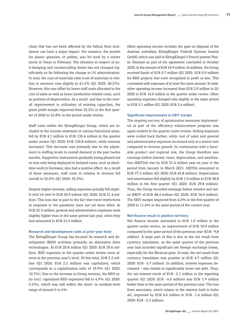chain that has not been affected by the fallout from lockdowns can have a major impact. For instance, the market for plastic granules, or pellets, was hit hard by a winter storm in Texas in February. The situation in respect of anti-dumping and countervailing duties has not changed significantly so far following the change in US administration. In total, the cost-of-materials ratio (cost of materials in relation to revenue) rose slightly to 41.2% (Q1 2020: 40.2%). However, this was offset by lower staff costs allocated to the cost of sales as well as lower production-related costs, such as portions of depreciation. As a result, and due to the overall improvement in utilization of existing capacities, the gross profit margin improved from 22.2% in the first quarter of 2020 to 25.8% in the period under review.

Staff costs within the ElringKlinger Group, which are included in the income statement in various functional areas, fell by EUR 4.1 million to EUR 135.6 million in the quarter under review (Q1 2020: EUR 139.8 million), while revenue increased. This decrease was primarily due to the adjustment in staffing levels to overall demand in the past twelve months. Supportive instruments gradually being phased out or now only being deployed in isolated cases, such as shorttime work in Germany, also had a positive effect. As a result of these measures, staff costs in relation to revenue fell overall to 32.0% (Q1 2020: 35.3%).

Despite higher revenue, selling expenses actually fell slightly year on year to EUR 30.9 million (Q1 2020: EUR 31.4 million). This was due in part to the fact that travel restrictions in response to the pandemic have not yet been lifted. At EUR 22.3 million, general and administrative expenses were slightly higher than in the same period last year, when they had amounted to EUR 21.6 million.

#### Research and development costs at prior-year level

The ElringKlinger Group has focused its research and development (R&D) activities primarily on alternative drive technologies. At EUR 20.8 million (Q1 2020: EUR 20.6 million), R&D expenses in the quarter under review were almost at the previous year's level. Of this total, EUR 2.3 million (Q1 2020: EUR 2.2 million) was capitalized, which corresponds to a capitalization ratio of 10.9% (Q1 2020: 10.7%). Due to the increase in Group revenue, the R&D ratio (incl. capitalized R&D expenses) fell to 4.9% (Q1 2020: 5.2%), which was still within the short- to medium-term range of around 5 to 6%.

Other operating income includes the gain on disposal of the Austrian subsidiary ElringKlinger Fuelcell Systems Austria GmbH, which was sold to ElringKlinger's French partner Plastic Omnium as part of the agreement concluded in October 2020, in the amount of EUR 10.9 million. In addition, the Group received funds of EUR 0.7 million (Q1 2020: EUR 0.9 million) for R&D projects that were recognized in profit or loss. This contrasted with expenses of at least the same amount. In total, other operating income increased from EUR 2.0 million in Q1 2020 to EUR 14.0 million in the quarter under review. Other operating expenses changed only slightly in the same period to EUR 3.1 million (Q1 2020: EUR 2.4 million).

#### Significant improvement in EBIT margin

The ongoing success of optimization measures implemented as part of the efficiency enhancement program was again evident in the quarter under review. Selling expenses were scaled back further, while cost of sales and general and administrative expenses increased only at a slower rate compared to revenue growth. In combination with a favorable product and regional mix, the Group therefore saw earnings before interest, taxes, depreciation, and amortization (EBITDA) rise by EUR 31.4 million year on year in the period from January to March 2021. EBITDA amounted to EUR 77.2 million (Q1 2020: EUR 45.8 million). Depreciation and amortization fell slightly by EUR 1.0 million to EUR 28.8 million in the first quarter (Q1 2020: EUR 29.8 million). Thus, the Group recorded earnings before interest and taxes (EBIT) of EUR 48.4 million (Q1 2020: EUR 16.0 million). The EBIT margin improved from 4.0% in the first quarter of 2020 to 11.4% in the same period of the current year.

#### Net finance result in positive territory

Net finance income amounted to EUR 1.0 million in the quarter under review, an improvement of EUR 10.9 million compared to the same period of the previous year (EUR -9.8 million). A large part of this is due to the net result from currency translation, as the same quarter of the previous year had included significant net foreign exchange losses, especially for the Mexican peso. In total, the net result from currency translation was positive at EUR 4.7 million (Q1 2020: EUR -3.7 million). In addition, interest expenses decreased – also thanks to significantly lower net debt. Thus, the net interest result of EUR -2.1 million in the reporting quarter (Q1 2020: EUR -4.0 million) was EUR 1.9 million better than in the same period of the previous year. The loss from associates, which relates to the interest held in hofer AG, improved by EUR 0.6 million to EUR -1.6 million (Q1 2020: EUR -2.2 million).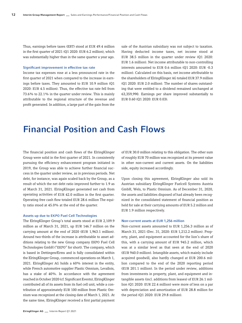Thus, earnings before taxes (EBT) stood at EUR 49.4 million in the first quarter of 2021 (Q1 2020: EUR 6.2 million), which was substantially higher than in the same quarter a year ago.

#### Significant improvement in effective tax rate

Income tax expenses rose at a less pronounced rate in the first quarter of 2021 when compared to the increase in earnings before taxes. They amounted to EUR 10.9 million (Q1 2020: EUR 4.5 million). Thus, the effective tax rate fell from 73.6% to 22.1% in the quarter under review. This is mainly attributable to the regional structure of the revenue and profit generated. In addition, a large part of the gain from the

sale of the Austrian subsidiary was not subject to taxation. Having deducted income taxes, net income stood at EUR 38.5 million in the quarter under review (Q1 2020: EUR 1.6 million). Net income attributable to non-controlling interests amounted to EUR 0.6 million (Q1 2020: EUR -0.3 million). Calculated on this basis, net income attributable to the shareholders of ElringKlinger AG totaled EUR 37.9 million (Q1 2020: EUR 2.0 million). The number of shares outstanding that were entitled to a dividend remained unchanged at 63,359,990. Earnings per share improved substantially to EUR 0.60 (Q1 2020: EUR 0.03).

### Financial Position and Cash Flows

The financial position and cash flows of the ElringKlinger Group were solid in the first quarter of 2021. In consistently pursuing the efficiency enhancement program initiated in 2019, the Group was able to achieve further financial success in the quarter under review, as in previous periods. Net debt, for instance, was again scaled back by the Group, as a result of which the net debt ratio improved further to 1.9 as of March 31, 2021. ElringKlinger generated net cash from operating activities of EUR 42.0 million in the first quarter. Operating free cash flow totaled EUR 28.6 million The equity ratio stood at 45.0% at the end of the quarter.

#### Assets up due to EKPO Fuel Cell Technologies

The ElringKlinger Group's total assets stood at EUR 2,109.9 million as of March 31, 2021, up EUR 146.7 million on the carrying amount at the end of 2020 (EUR 1,963.1 million). Around two-thirds of the increase is attributable to asset additions relating to the new Group company EKPO Fuel Cell Technologies GmbH ("EKPO" for short). The company, which is based in Dettingen/Erms and is fully consolidated within the ElringKlinger Group, commenced operations on March 1, 2021. ElringKlinger AG holds a 60% interest in the entity, while French automotive supplier Plastic Omnium, Levallois, has a stake of 40%. In accordance with the agreement reached in October 2020 (cf. Significant Events), ElringKlinger contributed all of its assets from its fuel cell unit, while a contribution of approximately EUR 100 million from Plastic Omnium was recognized at the closing date of March 1, 2021. At the same time, ElringKlinger received a first partial payment

of EUR 30.0 million relating to this obligation. The other sum of roughly EUR 70 million was recognized at its present value in other non-current and current assets. On the liabilities side, equity increased accordingly.

Upon closing this agreement, ElringKlinger also sold its Austrian subsidiary ElringKlinger Fuelcell Systems Austria GmbH, Wels, to Plastic Omnium. As of December 31, 2020, the assets and liabilities disposed of had already been recognized in the consolidated statement of financial position as held for sale at their carrying amounts of EUR 5.2 million and EUR 1.9 million respectively.

#### Non-current assets at EUR 1,256 million

Non-current assets amounted to EUR 1,256.3 million as of March 31, 2021 (Dec. 31, 2020: EUR 1,212.2 million). Property, plant, and equipment accounted for the lion's share of this, with a carrying amount of EUR 945.2 million, which was at a similar level as that seen at the end of 2020 (EUR 940.0 million). Intangible assets, which mainly include acquired goodwill, also hardly changed at EUR 200.6 million compared to the end of the 2020 reporting period (EUR 201.1 million). In the period under review, additions from investments in property, plant, and equipment and intangible assets (incl. additions from leases) of EUR 26.1 million (Q1 2020: EUR 22.4 million) were more of less on a par with depreciation and amortization of EUR 28.8 million for the period (Q1 2020: EUR 29.8 million).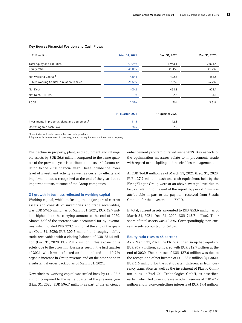| in EUR million                                             | Mar. 31, 2021                | Dec. 31, 2020                | Mar. 31, 2020 |
|------------------------------------------------------------|------------------------------|------------------------------|---------------|
| Total equity and liabilities                               | 2,109.9                      | 1,963.1                      | 2,091.4       |
| Equity ratio                                               | 45.0%                        | 41.4%                        | 41.7%         |
| Net Working Capital <sup>1</sup>                           | 430.4                        | 402.8                        | 452.8         |
| Net Working Capital in relation to sales                   | 28.5%                        | 27.2%                        | 26.9%         |
| Net Debt                                                   | 400.2                        | 458.8                        | 603.1         |
| Net Debt/EBITDA                                            | 1.9                          | 2.5                          | 3.1           |
| ROCE                                                       | 11.3%                        | $1.7\%$                      | 3.5%          |
|                                                            | 1 <sup>st</sup> quarter 2021 | 1 <sup>st</sup> quarter 2020 |               |
| Investments in property, plant, and equipment <sup>2</sup> | 11.6                         | 12.3                         |               |
| Operating free cash flow                                   | 28.6                         | $-2.2$                       |               |

#### Key figures Financial Position and Cash Flows

1 Inventories and trade receivables less trade payables

2 Payments for investments in property, plant, and equipment and investment property

The decline in property, plant, and equipment and intangible assets by EUR 86.6 million compared to the same quarter of the previous year is attributable to several factors relating to the 2020 financial year. These include the lower level of investment activity as well as currency effects and impairment losses recognized at the end of the year due to impairment tests at some of the Group companies.

#### Q1 growth in business reflected in working capital

Working capital, which makes up the major part of current assets and consists of inventories and trade receivables, was EUR 574.5 million as of March 31, 2021, EUR 42.7 million higher than the carrying amount at the end of 2020. Almost half of the increase was accounted for by inventories, which totaled EUR 323.1 million at the end of the quarter (Dec. 31, 2020: EUR 300.5 million) and roughly half by trade receivables with a closing balance of EUR 251.4 million (Dec. 31, 2020: EUR 231.2 million). This expansion is solely due to the growth in business seen in the first quarter of 2021, which was reflected on the one hand in a 10.7% organic increase in Group revenue and on the other hand in a substantial order backlog as of March 31, 2021.

Nevertheless, working capital was scaled back by EUR 22.2 million compared to the same quarter of the previous year (Mar. 31, 2020: EUR 596.7 million) as part of the efficiency enhancement program pursued since 2019. Key aspects of the optimization measures relate to improvements made with regard to stockpiling and receivables management.

At EUR 164.8 million as of March 31, 2021 (Dec. 31, 2020: EUR 127.9 million), cash and cash equivalents held by the ElringKlinger Group were at an above-average level due to factors relating to the end of the reporting period. This was attributable in part to the payment received from Plastic Omnium for the investment in EKPO.

In total, current assets amounted to EUR 853.6 million as of March 31, 2021 (Dec. 31, 2020: EUR 745.7 million). Their share of total assets was 40.5%. Correspondingly, non-current assets accounted for 59.5%.

#### Equity ratio rises to 45 percent

As of March 31, 2021, the ElringKlinger Group had equity of EUR 949.9 million, compared with EUR 812.9 million at the end of 2020. The increase of EUR 137.0 million was due to the recognition of net income of EUR 38.5 million (Q1 2020: EUR 1.6 million) for the first quarter, differences from currency translation as well as the investment of Plastic Omnium in EKPO Fuel Cell Technologies GmbH, as described earlier, which led to an increase in other reserves of EUR 47.2 million and in non-controlling interests of EUR 49.4 million.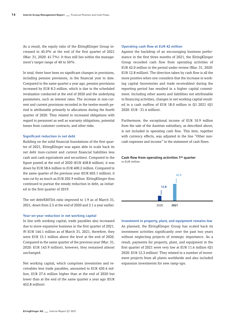As a result, the equity ratio of the ElringKlinger Group increased to 45.0% at the end of the first quarter of 2021 (Mar. 31, 2020: 41.7%). It thus still lies within the management's target range of 40 to 50%.

In total, there have been no significant changes in provisions, including pension provisions, in the financial year to date. Compared to the same quarter a year ago, pension provisions increased by EUR 8.3 million, which is due to the scheduled revaluation conducted at the end of 2020 and the underlying parameters, such as interest rates. The increase in non-current and current provisions recorded in the twelve-month period is attributable primarily to allocations during the fourth quarter of 2020. They related to increased obligations with regard to personnel as well as warranty obligations, potential losses from customer contracts, and other risks.

#### Significant reduction in net debt

Building on the solid financial foundations of the first quarter of 2021, ElringKlinger was again able to scale back its net debt (non-current and current financial liabilities less cash and cash equivalents and securities). Compared to the figure posted at the end of 2020 (EUR 458.8 million), it was down by EUR 58.6 million to EUR 400.2 million. Compared to the same quarter of the previous year (EUR 603.1 million), it was cut by as much as EUR 202.9 million. ElringKlinger thus continued to pursue the steady reduction in debt, as initiated in the first quarter of 2019.

The net debt/EBITDA ratio improved to 1.9 as of March 31, 2021, down from 2.5 at the end of 2020 and 3.1 a year earlier.

#### Year-on-year reduction in net working capital

In line with working capital, trade payables also increased due to more expansive business in the first quarter of 2021. At EUR 144.1 million as of March 31, 2021, therefore, they were EUR 15.1 million above the level at the end of 2020. Compared to the same quarter of the previous year (Mar. 31, 2020: EUR 143.9 million), however, they remained almost unchanged.

Net working capital, which comprises inventories and receivables less trade payables, amounted to EUR 430.4 million, EUR 27.6 million higher than at the end of 2020 but lower than at the end of the same quarter a year ago (EUR 452.8 million).

#### Operating cash flow at EUR 42 million

Against the backdrop of an encouraging business performance in the first three months of 2021, the ElringKlinger Group recorded cash flow from operating activities of EUR 42.0 million in the period under review (Mar. 31, 2020: EUR 12.8 million). The direction taken by cash flow is all the more positive when one considers that the increase in working capital (inventories and trade receivables) during the reporting period has resulted in a higher capital commitment. Including other assets and liabilities not attributable to financing activities, changes in net working capital resulted in a cash outflow of EUR 18.0 million in Q1 2021 (Q1 2020: EUR -31.4 million).

Furthermore, the exceptional income of EUR 10.9 million from the sale of the Austrian subsidiary, as described above, is not included in operating cash flow. This item, together with currency effects, was adjusted in the line "Other noncash expenses and income" in the statement of cash flows.

#### Cash flow from operating activities 1st quarter in EUR million



Investment in property, plant, and equipment remains low As planned, the ElringKlinger Group has scaled back its investment activities significantly over the past two years without neglecting projects of strategic importance. As a result, payments for property, plant, and equipment in the first quarter of 2021 were very low at EUR 11.6 million (Q1 2020: EUR 12.3 million). They related to a number of investment projects from all plants worldwide and also included expansion investments for new ramp-ups.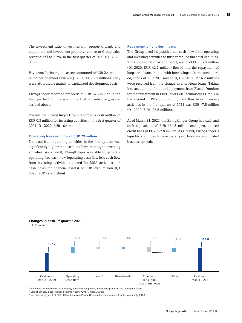The investment ratio (investments in property, plant, and equipment and investment property relative to Group sales revenue) fell to 2.7% in the first quarter of 2021 (Q1 2020: 3.1%).

Payments for intangible assets amounted to EUR 2.4 million in the period under review (Q1 2020: EUR 2.7 million). They were attributable mainly to capitalized development costs.

ElringKlinger recorded proceeds of EUR 14.5 million in the first quarter from the sale of the Austrian subsidiary, as described above.

Overall, the ElringKlinger Group recorded a cash outflow of EUR 0.8 million for investing activities in the first quarter of 2021 (Q1 2020: EUR 16.4 million).

#### Operating free cash flow of EUR 29 million

Net cash from operating activities in the first quarter was significantly higher than cash outflows relating to investing activities. As a result, ElringKlinger was able to generate operating free cash flow (operating cash flow less cash flow from investing activities adjusted for M&A activities and cash flows for financial assets) of EUR 28.6 million (Q1 2020: EUR -2.2 million).

#### Repayment of long-term loans

The Group used its positive net cash flow from operating and investing activities to further reduce financial liabilities. Thus, in the first quarter of 2021, a sum of EUR 57.7 million (Q1 2020: EUR 42.7 million) flowed into the repayment of long-term loans (netted with borrowings). In the same period, funds of EUR 20.1 million (Q1 2020: EUR 16.2 million) were received from the change in short-term loans. Taking into account the first partial payment from Plastic Omnium for the investment in EKPO Fuel Cell Technologies GmbH in the amount of EUR 30.0 million, cash flow from financing activities in the first quarter of 2021 was EUR -7.5 million (Q1 2020: EUR -26.5 million).

As of March 31, 2021, the ElringKlinger Group had cash and cash equivalents of EUR 164.8 million and open, unused credit lines of EUR 257.8 million. As a result, ElringKlinger's liquidity continues to provide a good basis for anticipated business growth.

#### Changes in cash 1st quarter 2021 in EUR million



1 Payments for investments in property, plant and equipment, investment property and intangible assets

2 Sale of ElringKlinger Fuelcell Systems Austria GmbH, Wels, Austria

3 Incl. Partial payment of EUR 30.0 million from Plastic Omnium for the investment in the joint entity EKPO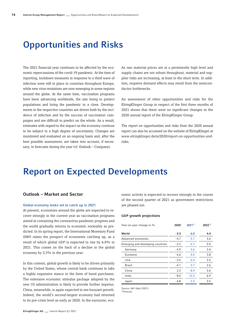### Opportunities and Risks

The 2021 financial year continues to be affected by the economic repercussions of the covid-19 pandemic. At the time of reporting, lockdown measures in response to a third wave of infection were still in place in countries throughout Europe, while new virus mutations are now emerging in some regions around the globe. At the same time, vaccination programs have been advancing worldwide, the aim being to protect populations and bring the pandemic to a close. Developments in the respective countries are driven both by the incidence of infection and by the success of vaccination campaigns and are difficult to predict on the whole. As a result, estimates with regard to the impact on the economy continue to be subject to a high degree of uncertainty. Changes are monitored and evaluated on an ongoing basis and, after the best possible assessment, are taken into account, if necessary, in forecasts during the year (cf. Outlook – Company).

As raw material prices are at a persistently high level and supply chains are not robust throughout, material and supplier risks are increasing, at least in the short term. In addition, negative demand effects may result from the semiconductor bottlenecks.

An assessment of other opportunities and risks for the ElringKlinger Group in respect of the first three months of 2021 shows that there were no significant changes to the 2020 annual report of the ElringKlinger Group.

The report on opportunities and risks from the 2020 annual report can also be accessed on the website of ElringKlinger at [www.elringklinger.de/ar2020/report-on-opportunities-and](http://www.elringklinger.de/ar2020/report-on-opportunities-and-risks)[risks](http://www.elringklinger.de/ar2020/report-on-opportunities-and-risks).

### Report on Expected Developments

### Outlook – Market and Sector

#### Global economy looks set to catch up in 2021

At present, economies around the globe are expected to recover strongly in the current year as vaccination programs aimed at containing the coronavirus pandemic progress and the world gradually returns to economic normality as predicted. In its spring report, the International Monetary Fund (IMF) raises the prospect of economies catching up, as a result of which global GDP is expected to rise by 6.0% in 2021. This comes on the back of a decline in the global economy by 3.3% in the previous year.

In this context, global growth is likely to be driven primarily by the United States, whose central bank continues to take a highly expansive stance in the form of bond purchases. The extensive economic stimulus package adopted by the new US administration is likely to provide further impetus. China, meanwhile, is again expected to see buoyant growth. Indeed, the world's second-largest economy had returned to its pre-crisis level as early as 2020. In the eurozone, eco-

nomic activity is expected to recover strongly in the course of the second quarter of 2021 as government restrictions are phased out.

#### GDP growth projections

| Year-on-year change in %          | 2020   | 20211 | 20221 |
|-----------------------------------|--------|-------|-------|
| World                             | $-3.3$ | 6.0   | 4.4   |
| Advanced economies                | $-4.7$ | 5.1   | 3.6   |
| Emerging and developing countries | $-2.2$ | 6.7   | 5.0   |
| Germany                           | $-4.9$ | 3.6   | 3.4   |
| Eurozone                          | $-6.6$ | 4.4   | 3.8   |
| <b>USA</b>                        | $-3.5$ | 6.4   | 3.5   |
| Brazil                            | $-4.1$ | 3.7   | 2.6   |
| China                             | 2.3    | 8.4   | 5.6   |
| India                             | $-8.0$ | 12.5  | 6.9   |
| Japan                             | $-4.8$ | 3.3   | 2.5   |
|                                   |        |       |       |

Source: IWF (April 2021)

1Forecast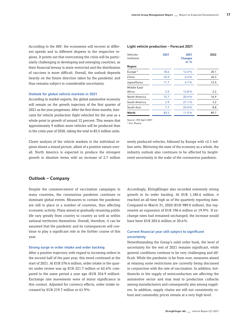According to the IMF, the economies will recover at different speeds and to different degrees in the respective regions. It points out that overcoming the crisis will be particularly challenging in developing and emerging countries, as their financial leeway is more restricted and the distribution of vaccines is more difficult. Overall, the outlook depends heavily on the future direction taken by the pandemic and thus remains subject to considerable uncertainty.

#### Outlook for global vehicle markets in 2021

According to market experts, the global automotive economy will remain on the growth trajectory of the first quarter of 2021 as the year progresses. After the first three months, forecasts for vehicle production (light vehicles) for the year as a whole point to growth of around 12 percent. This means that approximately 9 million more vehicles will be produced than in the crisis year of 2020, taking the total to 83.5 million units.

Closer analysis of the vehicle markets in the individual regions shows a mixed picture, albeit of a positive nature overall. North America is expected to produce the strongest growth in absolute terms with an increase of 2.7 million

#### Light vehicle production – Forecast 2021

| Vehicles<br>(millions) | 2021 | 2021<br><b>Changes</b><br>in $\frac{0}{0}$ | 2022 |
|------------------------|------|--------------------------------------------|------|
| Region                 |      |                                            |      |
| Europe <sup>1</sup>    | 18.6 | $12.4\%$                                   | 20.1 |
| China                  | 24.9 | $5.4\%$                                    | 26.3 |
| Japan/Korea            | 11.7 | $4.7\%$                                    | 12.4 |
| Middle East/           |      |                                            |      |
| Africa                 | 2.0  | 12.8%                                      | 2.2  |
| North America          | 15.7 | 20.4%                                      | 16.9 |
| South America          | 2.9  | 27.1%                                      | 3.2  |
| South Asia             | 7.7  | 25.0%                                      | 8.8  |
| World                  | 83.5 | 11.9%                                      | 89.7 |
|                        |      |                                            |      |

Source: IHS April 2021

1 Incl. Russia

newly produced vehicles, followed by Europe with +2.1 million units. Mirroring the state of the economy as a whole, the industry outlook also continues to be affected by heightened uncertainty in the wake of the coronavirus pandemic.

#### Outlook – Company

Despite the commencement of vaccination campaigns in many countries, the coronavirus pandemic continues to dominate global events. Measures to contain the pandemic are still in place in a number of countries, thus affecting economic activity. Plans aimed at gradually resuming public life vary greatly from country to country as well as within national territories themselves. Overall, therefore, it can be assumed that the pandemic and its consequences will continue to play a significant role in the further course of this year.

#### Strong surge in order intake and order backlog

After a positive trajectory with regard to incoming orders in the second half of the past year, this trend continued at the start of 2021. At EUR 576.6 million, order intake in the quarter under review was up EUR 221.7 million or 62.4% compared to the same period a year ago (EUR 354.9 million). Exchange rate movements were of minor significance in this context. Adjusted for currency effects, order intake increased by EUR 219.7 million or 61.9%.

Accordingly, ElringKlinger also recorded extremely strong growth in its order backlog. At EUR 1,185.6 million, it reached an all-time high as of the quarterly reporting date. Compared to March 31, 2020 (EUR 989.0 million), this represents an expansion of EUR 196.6 million or 19.9%. If exchange rates had remained unchanged, the increase would have been EUR 203.6 million or 20.6%.

#### Current financial year still subject to significant uncertainty

Notwithstanding the Group's solid order book, the level of uncertainty for the rest of 2021 remains significant, while general conditions continue to be very challenging and difficult. While the pandemic is far from over, measures aimed at relaxing some restrictions are currently being discussed in conjunction with the rate of vaccination. In addition, bottlenecks in the supply of semiconductors are affecting the automotive sector and may lead to production cutbacks among manufacturers and consequently also among suppliers. In addition, supply chains are still not consistently robust and commodity prices remain at a very high level.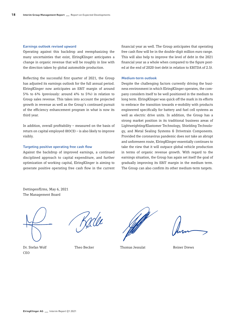#### Earnings outlook revised upward

Operating against this backdrop and reemphasizing the many uncertainties that exist, ElringKlinger anticipates a change in organic revenue that will be roughly in line with the direction taken by global automobile production.

Reflecting the successful first quarter of 2021, the Group has adjusted its earnings outlook for the full annual period. ElringKlinger now anticipates an EBIT margin of around 5% to 6% (previously: around 4% to 5%) in relation to Group sales revenue. This takes into account the projected growth in revenue as well as the Group's continued pursuit of the efficiency enhancement program in what is now its third year.

In addition, overall profitability – measured on the basis of return on capital employed (ROCE) – is also likely to improve visibly.

#### Targeting positive operating free cash flow

Against the backdrop of improved earnings, a continued disciplined approach to capital expenditure, and further optimization of working capital, ElringKlinger is aiming to generate positive operating free cash flow in the current

financial year as well. The Group anticipates that operating free cash flow will be in the double-digit million euro range. This will also help to improve the level of debt in the 2021 financial year as a whole when compared to the figure posted at the end of 2020 (net debt in relation to EBITDA of 2.5).

#### Medium-term outlook

Despite the challenging factors currently driving the business environment in which ElringKlinger operates, the company considers itself to be well positioned in the medium to long term. ElringKlinger was quick off the mark in its efforts to embrace the transition towards e-mobility with products engineered specifically for battery and fuel cell systems as well as electric drive units. In addition, the Group has a strong market position in its traditional business areas of Lightweighting/Elastomer Technology, Shielding Technology, and Metal Sealing Systems & Drivetrain Components. Provided the coronavirus pandemic does not take an abrupt and unforeseen route, ElringKlinger essentially continues to take the view that it will outpace global vehicle production in terms of organic revenue growth. With regard to the earnings situation, the Group has again set itself the goal of gradually improving its EBIT margin in the medium term. The Group can also confirm its other medium-term targets.

Dettingen/Erms, May 6, 2021 The Management Board

Dr. Stefan Wolf Theo Becker Thomas Jessulat Reiner Drews CEO

Kade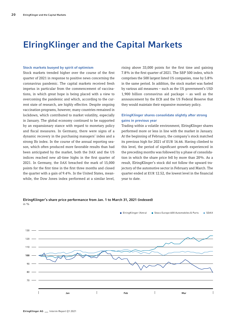### ElringKlinger and the Capital Markets

#### Stock markets buoyed by spirit of optimism

Stock markets trended higher over the course of the first quarter of 2021 in response to positive news concerning the coronavirus pandemic. The capital markets received fresh impetus in particular from the commencement of vaccinations, in which great hope is being placed with a view to overcoming the pandemic and which, according to the current state of research, are highly effective. Despite ongoing vaccination programs, however, many countries remained in lockdown, which contributed to market volatility, especially in January. The global economy continued to be supported by an expansionary stance with regard to monetary policy and fiscal measures. In Germany, there were signs of a dynamic recovery in the purchasing managers' index and a strong Ifo index. In the course of the annual reporting season, which often produced more favorable results than had been anticipated by the market, both the DAX and the US indices reached new all-time highs in the first quarter of 2021. In Germany, the DAX breached the mark of 15,000 points for the first time in the first three months and closed the quarter with a gain of 9.4%. In the United States, meanwhile, the Dow Jones index performed at a similar level, rising above 33,000 points for the first time and gaining 7.8% in the first quarter of 2021. The S&P 500 index, which comprises the 500 largest listed US companies, rose by 5.8% in the same period. In addition, the stock market was fueled by various aid measures – such as the US government's USD 1,900 billion coronavirus aid package – as well as the announcement by the ECB and the US Federal Reserve that they would maintain their expansive monetary policy.

#### ElringKlinger shares consolidate slightly after strong gains in previous year

Trading within a volatile environment, ElringKlinger shares performed more or less in line with the market in January. At the beginning of February, the company's stock matched its previous high for 2021 of EUR 16.66. Having climbed to this level, the period of significant growth experienced in the preceding months was followed by a phase of consolidation in which the share price fell by more than 20%. As a result, ElringKlinger's stock did not follow the upward trajectory of the automotive sector in February and March. The quarter ended at EUR 12.52, the lowest level in the financial year to date.

ElringKlinger's share price performance from Jan. 1 to March 31, 2021 (indexed) in  $0$ /

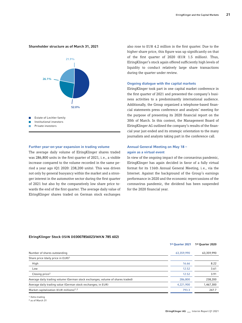#### Shareholder structure as of March 31, 2021



#### Further year-on-year expansion in trading volume

The average daily volume of ElringKlinger shares traded was 286,800 units in the first quarter of 2021, i.e., a visible increase compared to the volume recorded in the same period a year ago (Q1 2020: 238,200 units). This was driven not only by general buoyancy within the market and a stronger interest in the automotive sector during the first quarter of 2021 but also by the comparatively low share price towards the end of the first quarter. The average daily value of ElringKlinger shares traded on German stock exchanges also rose to EUR 4.2 million in the first quarter. Due to the higher share price, this figure was up significantly on that of the first quarter of 2020 (EUR 1.5 million). Thus, ElringKlinger's stock again offered sufficiently high levels of liquidity to conduct relatively large share transactions during the quarter under review.

#### Ongoing dialogue with the capital markets

ElringKlinger took part in one capital market conference in the first quarter of 2021 and presented the company's business activities to a predominantly international audience. Additionally, the Group organized a telephone-based financial statements press conference and analysts' meeting for the purpose of presenting its 2020 financial report on the 30th of March. In this context, the Management Board of ElringKlinger AG outlined the company's results of the financial year just ended and its strategic orientation to the many journalists and analysts taking part in the conference call.

#### Annual General Meeting on May 18 – again as a virtual event

In view of the ongoing impact of the coronavirus pandemic, ElringKlinger has again decided in favor of a fully virtual format for its 116th Annual General Meeting, i.e., via the Internet. Against the background of the Group's earnings performance in 2020 and the economic repercussions of the coronavirus pandemic, the dividend has been suspended for the 2020 financial year.

#### ElringKlinger Stock (ISIN DE0007856023/WKN 785 602)

|                                                                                | 1st Ouarter 2021 | 1st Quarter 2020 |
|--------------------------------------------------------------------------------|------------------|------------------|
| Number of shares outstanding                                                   | 63,359,990       | 63,359,990       |
| Share price (daily price in EUR) <sup>1</sup>                                  |                  |                  |
| High                                                                           | 16.66            | 8.22             |
| Low                                                                            | 12.52            | 3.61             |
| Closing price <sup>2</sup>                                                     | 12.52            | 3.91             |
| Average daily trading volume (German stock exchanges; volume of shares traded) | 286,800          | 238,200          |
| Average daily trading value (German stock exchanges; in EUR)                   | 4,221,900        | 1,467,300        |
| Market capitalization (EUR millions) <sup>1,2</sup>                            | 793.3            | 247.7            |

1 Xetra trading

2 as of March 31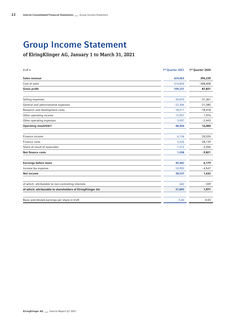# Group Income Statement

### of ElringKlinger AG, January 1 to March 31, 2021

| EUR k                                                      | 1st Quarter 2021 | 1st Quarter 2020 |
|------------------------------------------------------------|------------------|------------------|
| Sales revenue                                              | 424,065          | 396,239          |
| Cost of sales                                              | $-314,834$       | $-308,408$       |
| Gross profit                                               | 109,231          | 87,831           |
| Selling expenses                                           | $-30,870$        | $-31,361$        |
| General and administrative expenses                        | $-22,306$        | $-21,585$        |
| Research and development costs                             | $-18,511$        | $-18,418$        |
| Other operating income                                     | 13,957           | 1,976            |
| Other operating expenses                                   | $-3,097$         | $-2,443$         |
| Operating result/EBIT                                      | 48,404           | 16,000           |
| Finance income                                             | 6,136            | 20,524           |
| Finance costs                                              | $-3,526$         | $-28,139$        |
| Share of result of associates                              | $-1,572$         | $-2,206$         |
| Net finance costs                                          | 1,038            | $-9,821$         |
| <b>Earnings before taxes</b>                               | 49,442           | 6,179            |
| Income tax expense                                         | $-10,905$        | $-4,547$         |
| <b>Net income</b>                                          | 38,537           | 1,632            |
| of which: attributable to non-controlling interests        | 642              | $-339$           |
| of which: attributable to shareholders of ElringKlinger AG | 37,895           | 1,971            |
| Basic and diluted earnings per share in EUR                | 0.60             | 0.03             |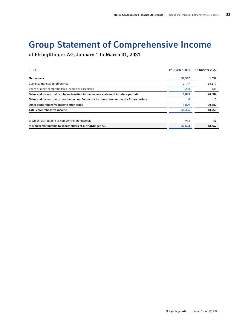# Group Statement of Comprehensive Income

of ElringKlinger AG, January 1 to March 31, 2021

| EUR k                                                                                      | 1st Quarter 2021 | 1st Quarter 2020 |
|--------------------------------------------------------------------------------------------|------------------|------------------|
| Net income                                                                                 | 38,537           | 1,632            |
| Currency translation difference                                                            | 2,177            | $-20,517$        |
| Share of other comprehensive income of associates                                          | $-278$           | 135              |
| Gains and losses that can be reclassified to the income statement in future periods        | 1,899            | $-20,382$        |
| Gains and losses that cannot be reclassified to the income statement in the future periods | 0                | 0                |
| Other comprehensive income after taxes                                                     | 1,899            | $-20,382$        |
| Total comprehensive income                                                                 | 40,436           | $-18,750$        |
| of which: attributable to non-controlling interests                                        | 913              | $-83$            |
| of which: attributable to shareholders of ElringKlinger AG                                 | 39,523           | $-18.667$        |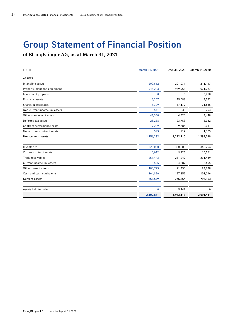# Group Statement of Financial Position

of ElringKlinger AG, as at March 31, 2021

| EUR k                         | March 31, 2021 | Dec. 31, 2020 | March 31, 2020 |
|-------------------------------|----------------|---------------|----------------|
| <b>ASSETS</b>                 |                |               |                |
| Intangible assets             | 200,612        | 201,071       | 211,117        |
| Property, plant and equipment | 945,203        | 939,953       | 1,021,287      |
| Investment property           | $\theta$       | 0             | 3,258          |
| <b>Financial assets</b>       | 15,207         | 15,088        | 3,552          |
| Shares in associates          | 15,329         | 17,179        | 21,635         |
| Non-current income tax assets | 541            | 335           | 293            |
| Other non-current assets      | 41,330         | 4,320         | 4,448          |
| Deferred tax assets           | 28,238         | 23,763        | 16,342         |
| Contract performance costs    | 9,229          | 9,784         | 10,011         |
| Non-current contract assets   | 593            | 717           | 1,305          |
| <b>Non-current assets</b>     | 1,256,282      | 1,212,210     | 1,293,248      |
| Inventories                   | 323,050        | 300,503       | 365,254        |
| Current contract assets       | 10,012         | 9,725         | 10,561         |
| Trade receivables             | 251,443        | 231,249       | 231,439        |
| Current income tax assets     | 3,525          | 4,889         | 5,655          |
| Other current assets          | 100,723        | 71,436        | 84,238         |
| Cash and cash equivalents     | 164,826        | 127,852       | 101,016        |
| <b>Current assets</b>         | 853,579        | 745,654       | 798,163        |
| Assets held for sale          | $\mathbf{0}$   | 5,249         | $\mathbf 0$    |
|                               | 2,109,861      | 1,963,113     | 2,091,411      |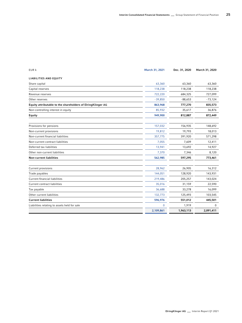| EUR k                                                       | March 31, 2021 | Dec. 31, 2020 | March 31, 2020 |
|-------------------------------------------------------------|----------------|---------------|----------------|
| <b>LIABILITIES AND EQUITY</b>                               |                |               |                |
| Share capital                                               | 63,360         | 63,360        | 63,360         |
| Capital reserves                                            | 118,238        | 118,238       | 118,238        |
| Revenue reserves                                            | 722,220        | 684,325       | 727,099        |
| Other reserves                                              | $-39,850$      | $-88,653$     | $-73,124$      |
| Equity attributable to the shareholders of ElringKlinger AG | 863,968        | 777,270       | 835,573        |
| Non-controlling interest in equity                          | 85,932         | 35,617        | 36,876         |
| Equity                                                      | 949,900        | 812,887       | 872,449        |
| Provisions for pensions                                     | 157,032        | 156,935       | 148,692        |
| Non-current provisions                                      | 19,812         | 19,793        | 18,013         |
| Non-current financial liabilities                           | 357,775        | 391,920       | 571,298        |
| Non-current contract liabilities                            | 7,055          | 7,609         | 12,411         |
| Deferred tax liabilities                                    | 13,941         | 13,692        | 14,927         |
| Other non-current liabilities                               | 7,370          | 7,346         | 8,120          |
| <b>Non-current liabilities</b>                              | 562,985        | 597,295       | 773,461        |
| Current provisions                                          | 28,962         | 26,905        | 16,312         |
| Trade payables                                              | 144,051        | 128,920       | 143,931        |
| <b>Current financial liabilities</b>                        | 219,486        | 205,257       | 143,024        |
| Current contract liabilities                                | 35,016         | 31,159        | 22,590         |
| Tax payable                                                 | 36,688         | 33,278        | 16,099         |
| Other current liabilities                                   | 132,773        | 125,493       | 103,545        |
| <b>Current liabilities</b>                                  | 596,976        | 551,012       | 445,501        |
| Liabilities relating to assets held for sale                | $\Omega$       | 1,919         | $\Omega$       |
|                                                             | 2,109,861      | 1,963,113     | 2,091,411      |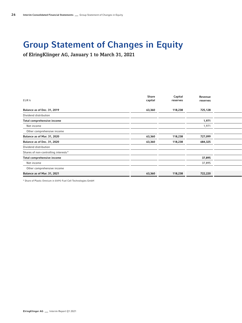### Group Statement of Changes in Equity

of ElringKlinger AG, January 1 to March 31, 2021

| EUR k                                | Share<br>capital | Capital<br>reserves | Revenue<br>reserves |  |  |
|--------------------------------------|------------------|---------------------|---------------------|--|--|
| Balance as of Dec. 31, 2019          | 63,360           | 118,238             | 725,128             |  |  |
| Dividend distribution                |                  |                     |                     |  |  |
| Total comprehensive income           |                  |                     | 1,971               |  |  |
| Net income                           |                  |                     | 1,971               |  |  |
| Other comprehensive income           |                  |                     |                     |  |  |
| Balance as of Mar. 31, 2020          | 63,360           | 118,238             | 727,099             |  |  |
| Balance as of Dec. 31, 2020          | 63,360           | 118,238             | 684,325             |  |  |
| Dividend distribution                |                  |                     |                     |  |  |
| Shares of non-controlling interests* |                  |                     |                     |  |  |
| Total comprehensive income           |                  |                     | 37,895              |  |  |
| Net income                           |                  |                     | 37,895              |  |  |
| Other comprehensive income           |                  |                     |                     |  |  |
| Balance as of Mar. 31, 2021          | 63,360           | 118,238             | 722,220             |  |  |
|                                      |                  |                     |                     |  |  |

\* Share of Plastic Omnium in EKPO Fuel Cell Technologies GmbH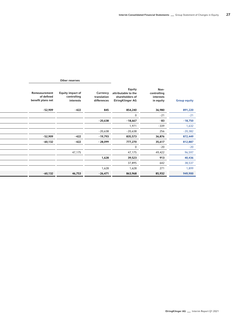|                                                  | Other reserves                                      |                                        |                                                                                                                              |                     |           |
|--------------------------------------------------|-----------------------------------------------------|----------------------------------------|------------------------------------------------------------------------------------------------------------------------------|---------------------|-----------|
| Remeasurement<br>of defined<br>benefit plans net | <b>Equity impact of</b><br>controlling<br>interests | Currency<br>translation<br>differences | Equity<br>Non-<br>attributable to the<br>controlling<br>interests<br>shareholders of<br><b>ElringKlinger AG</b><br>in equity | <b>Group equity</b> |           |
| -52,909                                          | $-422$                                              | 845                                    | 854,240                                                                                                                      | 36,980              | 891,220   |
|                                                  |                                                     |                                        |                                                                                                                              | $-21$               | $-21$     |
|                                                  |                                                     | $-20,638$                              | $-18,667$                                                                                                                    | $-83$               | $-18,750$ |
|                                                  |                                                     |                                        | 1,971                                                                                                                        | $-339$              | 1,632     |
|                                                  |                                                     | $-20,638$                              | $-20,638$                                                                                                                    | 256                 | $-20,382$ |
| $-52,909$                                        | $-422$                                              | $-19,793$                              | 835,573                                                                                                                      | 36,876              | 872,449   |
| $-60,132$                                        | $-422$                                              | - 28,099                               | 777,270                                                                                                                      | 35,617              | 812,887   |
|                                                  |                                                     |                                        |                                                                                                                              | $-20$               | $-20$     |
|                                                  | 47,175                                              |                                        | 47,175                                                                                                                       | 49,422              | 96,597    |
|                                                  |                                                     | 1,628                                  | 39,523                                                                                                                       | 913                 | 40,436    |
|                                                  |                                                     |                                        | 37,895                                                                                                                       | 642                 | 38,537    |
|                                                  |                                                     | 1,628                                  | 1,628                                                                                                                        | 271                 | 1,899     |
| $-60,132$                                        | 46,753                                              | $-26,471$                              | 863,968                                                                                                                      | 85,932              | 949,900   |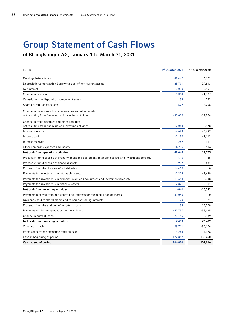### Group Statement of Cash Flows

of ElringKlinger AG, January 1 to March 31, 2021

| EUR k                                                                                                              | 1st Quarter 2021 | 1st Quarter 2020 |
|--------------------------------------------------------------------------------------------------------------------|------------------|------------------|
| Earnings before taxes                                                                                              | 49,442           | 6,179            |
| Depreciation/amortization (less write-ups) of non-current assets                                                   | 28,791           | 29,813           |
| Net interest                                                                                                       | 2,090            | 3,954            |
| Change in provisions                                                                                               | 1,804            | $-1,227$         |
| Gains/losses on disposal of non-current assets                                                                     | 99               | 232              |
| Share of result of associates                                                                                      | 1,572            | 2,206            |
| Change in inventories, trade receivables and other assets<br>not resulting from financing and investing activities | $-35,070$        | $-12,924$        |
| Change in trade payables and other liabilities<br>not resulting from financing and investing activities            | 17,083           | $-18,478$        |
| Income taxes paid                                                                                                  | $-7,683$         | $-6,692$         |
| Interest paid                                                                                                      | $-2,130$         | $-3,113$         |
| Interest received                                                                                                  | 282              | 311              |
| Other non-cash expenses and income                                                                                 | $-14,235$        | 12,514           |
| Net cash from operating activities                                                                                 | 42,045           | 12,775           |
| Proceeds from disposals of property, plant and equipment, intangible assets and investment property                | 616              | 25               |
| Proceeds from disposals of financial assets                                                                        | 937              | 881              |
| Proceeds from the disposal of subsidiaries                                                                         | 14,450           | 0                |
| Payments for investments in intangible assets                                                                      | $-2,379$         | $-2,659$         |
| Payments for investments in property, plant and equipment and investment property                                  | - 11,644         | $-12,338$        |
| Payments for investments in financial assets                                                                       | $-2,821$         | $-2,301$         |
| Net cash from investing activities                                                                                 | $-841$           | $-16,392$        |
| Payments received from non-controlling interests for the acquisition of shares                                     | 30,040           | 0                |
| Dividends paid to shareholders and to non-controlling interests                                                    | $-20$            | $-21$            |
| Proceeds from the addition of long-term loans                                                                      | 98               | 13,378           |
| Payments for the repayment of long-term loans                                                                      | -57,757          | -56,035          |
| Change in current loans                                                                                            | 20,146           | 16,189           |
| Net cash from financing activities                                                                                 | $-7,493$         | $-26,489$        |
| Changes in cash                                                                                                    | 33,711           | $-30,106$        |
| Effects of currency exchange rates on cash                                                                         | 3,263            | $-4,328$         |
| Cash at beginning of period                                                                                        | 127,852          | 135,450          |
| Cash at end of period                                                                                              | 164,826          | 101,016          |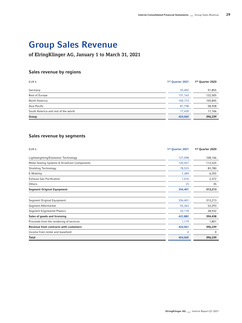# Group Sales Revenue

### of ElringKlinger AG, January 1 to March 31, 2021

### Sales revenue by regions

| EUR k                               | 1st Quarter 2021 | 1st Quarter 2020 |
|-------------------------------------|------------------|------------------|
| Germany                             | 93,492           | 91,855           |
| Rest of Europe                      | 131,163          | 122,505          |
| North America                       | 100,173          | 105,845          |
| Asia-Pacific                        | 81,798           | 58,928           |
| South America and rest of the world | 17,439           | 17,106           |
| Group                               | 424,065          | 396,239          |

### Sales revenue by segments

| EUR k                                         | 1st Quarter 2021 | 1st Quarter 2020 |
|-----------------------------------------------|------------------|------------------|
| Lightweighting/Elastomer Technology           | 127,098          | 108,146          |
| Metal Sealing Systems & Drivetrain Components | 120,457          | 112,525          |
| Shielding Technology                          | 78,523           | 83,780           |
| E-Mobility                                    | 7,284            | 6,355            |
| <b>Exhaust Gas Purification</b>               | 1,016            | 2,372            |
| Others                                        | 23               | 35               |
| <b>Segment Original Equipment</b>             | 334,401          | 313,213          |
|                                               |                  |                  |
| Segment Original Equipment                    | 334,401          | 313,213          |
| Segment Aftermarket                           | 55,363           | 52,293           |
| <b>Segment Engineered Plastics</b>            | 33,118           | 28,932           |
| Sales of goods and licensing                  | 422,882          | 394,438          |
| Proceeds from the rendering of services       | 1,179            | 1,801            |
| Revenue from contracts with customers         | 424,061          | 396,239          |
| Income from rental and leasehold              | 4                | 0                |
| Total                                         | 424,065          | 396,239          |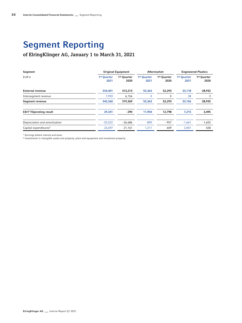# Segment Reporting

### of ElringKlinger AG, January 1 to March 31, 2021

| Segment                                  |                                 | <b>Original Equipment</b>       |                                 | Aftermarket                     |                                 | <b>Engineered Plastics</b> |  |  |  |  |  |
|------------------------------------------|---------------------------------|---------------------------------|---------------------------------|---------------------------------|---------------------------------|----------------------------|--|--|--|--|--|
| EUR k                                    | 1 <sup>st</sup> Quarter<br>2021 | 1 <sup>st</sup> Quarter<br>2020 | 1 <sup>st</sup> Quarter<br>2021 | 1 <sup>st</sup> Quarter<br>2020 | 1 <sup>st</sup> Quarter<br>2021 | 1st Quarter<br>2020        |  |  |  |  |  |
| <b>External revenue</b>                  | 334,401                         | 313,213                         | 55,363                          | 52,293                          | 33,118                          | 28,932                     |  |  |  |  |  |
| Intersegment revenue                     | 7,959                           | 6,156                           |                                 |                                 | 38                              |                            |  |  |  |  |  |
| Segment revenue                          | 342,360                         | 319,369                         | 55,363                          | 52,293                          | 33,156                          | 28,935                     |  |  |  |  |  |
| <b>EBIT<sup>1</sup>/Operating result</b> | 29,341                          | $-290$                          | 11,904                          | 12,798                          | 7,215                           | 3,495                      |  |  |  |  |  |
| Depreciation and amortization            | $-25,522$                       | $-26,686$                       | $-890$                          | $-957$                          | $-1,661$                        | $-1,655$                   |  |  |  |  |  |
| Capital expenditures <sup>2</sup>        | 22,697                          | 21,161                          | 1,211                           | 609                             | 2,001                           | 428                        |  |  |  |  |  |
|                                          |                                 |                                 |                                 |                                 |                                 |                            |  |  |  |  |  |

1 Earnings before interest and taxes

2 Investments in intangible assets and property, plant and equipment and investment property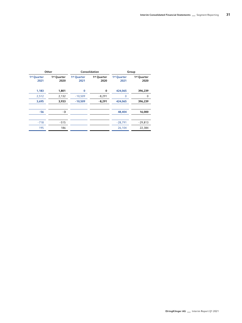|                     | Group               | Consolidation       |                     | Other                           |                                 |
|---------------------|---------------------|---------------------|---------------------|---------------------------------|---------------------------------|
| 1st Quarter<br>2020 | 1st Quarter<br>2021 | 1st Quarter<br>2020 | 1st Quarter<br>2021 | 1 <sup>st</sup> Quarter<br>2020 | 1 <sup>st</sup> Quarter<br>2021 |
| 396,239             | 424,065             | $\bf{0}$            |                     | 1,801                           | 1,183                           |
|                     |                     | $-8,291$            | $-10,509$           | 2,132                           | 2,512                           |
| 396,239             | 424,065             | $-8,291$            | $-10,509$           | 3,933                           | 3,695                           |
| 16,000              | 48,404              |                     |                     | $-3$                            | $-56$                           |
| $-29,813$           | $-28,791$           |                     |                     | $-515$                          | $-718$                          |
| 22,384              | 26,104              |                     |                     | 186                             | 195                             |
|                     |                     |                     |                     |                                 |                                 |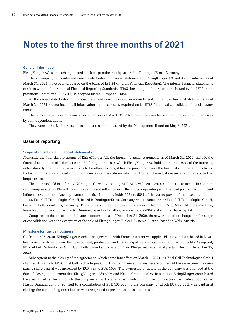### Notes to the first three months of 2021

#### General Information

ElringKlinger AG is an exchange-listed stock corporation headquartered in Dettingen/Erms, Germany.

The accompanying condensed consolidated interim financial statements of ElringKlinger AG and its subsidiaries as of March 31, 2021, have been prepared on the basis of IAS 34 (Interim Financial Reporting). The interim financial statements conform with the International Financial Reporting Standards (IFRS), including the Interpretations issued by the IFRS Interpretations Committee (IFRS IC), as adopted by the European Union.

As the consolidated interim financial statements are presented in a condensed format, the financial statements as of March 31, 2021, do not include all information and disclosures required under IFRS for annual consolidated financial statements.

The consolidated interim financial statements as of March 31, 2021, have been neither audited nor reviewed in any way by an independent auditor.

They were authorized for issue based on a resolution passed by the Management Board on May 6, 2021.

#### Basis of reporting

#### Scope of consolidated financial statements

Alongside the financial statements of ElringKlinger AG, the interim financial statements as of March 31, 2021, include the financial statements of 7 domestic and 30 foreign entities in which ElringKlinger AG holds more than 50% of the interests, either directly or indirectly, or over which, for other reasons, it has the power to govern the financial and operating policies. Inclusion in the consolidated group commences on the date on which control is obtained; it ceases as soon as control no longer exists.

The interests held in hofer AG, Nürtingen, Germany, totaling 24.71% have been accounted for as an associate in non-current Group assets, as ElringKlinger has significant influence over the entity's operating and financial policies. A significant influence over an associate is presumed to exist if an entity holds 20% to 50% of the voting power of the investee.

EK Fuel Cell Technologies GmbH, based in Dettingen/Erms, Germany, was renamed EKPO Fuel Cell Technologies GmbH, based in Dettingen/Erms, Germany. The interests in the company were reduced from 100% to 60%. At the same time, French automotive supplier Plastic Omnium, based in Levallois, France, took a 40% stake in the share capital.

Compared to the consolidated financial statements as of December 31, 2020, there were no other changes in the scope of consolidation with the exception of the sale of ElringKlinger Fuelcell Systems Austria, based in Wels, Austria.

#### Milestone for fuel cell business

On October 28, 2020, ElringKlinger reached an agreement with French automotive supplier Plastic Omnium, based in Levallois, France, to drive forward the development, production, and marketing of fuel cell stacks as part of a joint entity. As agreed, EK Fuel Cell Technologies GmbH, a wholly owned subsidiary of ElringKlinger AG, was initially established on December 15, 2020.

Subsequent to the closing of the agreement, which came into effect on March 1, 2021, EK Fuel Cell Technologies GmbH changed its name to EKPO Fuel Cell Technologies GmbH and commenced its business activities. At the same time, the company's share capital was increased by EUR 75k to EUR 100k. The ownership structure in the company was changed at the date of closing to the extent that ElringKlinger holds 60% and Plastic Omnium 40%. In addition, ElringKlinger contributed the area of fuel cell technology to the company as part of a non-cash contribution. The contribution was made at book value. Plastic Omnium committed itself to a contribution of EUR 100,000k to the company, of which EUR 30,000k was paid in at closing; the outstanding contribution was recognized at present value as other assets.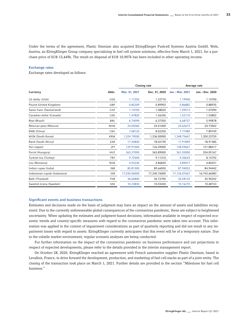Under the terms of the agreement, Plastic Omnium also acquired ElringKlinger Fuelcell Systems Austria GmbH, Wels, Austria, an ElringKlinger Group company specializing in fuel cell system solutions, effective from March 1, 2021, for a purchase price of EUR 13,449k. The result on disposal of EUR 10,907k has been included in other operating income.

#### Exchange rates

Exchange rates developed as follows:

|                               |            |               | <b>Closing rate</b> | Average rate     |                  |  |
|-------------------------------|------------|---------------|---------------------|------------------|------------------|--|
| Currency                      | Abbr.      | Mar. 31, 2021 | Dec. 31, 2020       | Jan. - Mar. 2021 | Jan. - Dec. 2020 |  |
| US dollar (USA)               | <b>USD</b> | 1.17250       | 1.22710             | 1.19940          | 1.14700          |  |
| Pound (United Kingdom)        | GBP        | 0.85209       | 0.89903             | 0.86882          | 0.88935          |  |
| Swiss franc (Switzerland)     | CHF        | 1.10700       | 1.08020             | 1.09513          | 1.07090          |  |
| Canadian dollar (Canada)      | CAD        | 1.47820       | 1.56330             | 1.52110          | 1.53802          |  |
| Real (Brazil)                 | <b>BRL</b> | 6.74090       | 6.37350             | 6.68737          | 5.99878          |  |
| Mexican peso (Mexico)         | <b>MXN</b> | 24.05060      | 24.41600            | 24.62673         | 24.73002         |  |
| RMB (China)                   | CNY        | 7.68120       | 8.02250             | 7.77480          | 7.89749          |  |
| WON (South Korea)             | <b>KRW</b> | 1.324.19000   | 1.336.00000         | 1.348.75667      | 1.350.23750      |  |
| Rand (South Africa)           | ZAR        | 17.34840      | 18.02190            | 17.91890         | 18.91385         |  |
| Yen (Japan)                   | <b>JPY</b> | 129.91000     | 126.49000           | 128.59667        | 121.88417        |  |
| Forint (Hungary)              | <b>HUF</b> | 363.27000     | 363.89000           | 361.03000        | 354.05167        |  |
| Turkish lira (Turkey)         | <b>TRY</b> | 9.72500       | 9.11310             | 9.20633          | 8.15792          |  |
| Leu (Romania)                 | <b>RON</b> | 4.92230       | 4.86830             | 4.89077          | 4.84251          |  |
| Indian rupee (India)          | <b>INR</b> | 85.81300      | 89.66050            | 87.94053         | 84.94442         |  |
| Indonesian rupiah (Indonesia) | <b>IDR</b> | 17,030.56000  | 17,240.76000        | 17,126.07667     | 16,743.66083     |  |
| Bath (Thailand)               | THB        | 36.65800      | 36.72700            | 36.58133         | 35.90242         |  |
| Swedish krona (Sweden)        | <b>SEK</b> | 10.23830      | 10.03430            | 10.16270         | 10.48153         |  |

#### Significant events and business transactions

Estimates and decisions made on the basis of judgment may have an impact on the amount of assets and liabilities recognized. Due to the currently unforeseeable global consequences of the coronavirus pandemic, these are subject to heightened uncertainty. When updating the estimates and judgment-based decisions, information available in respect of expected economic trends and country-specific measures with regard to the coronavirus pandemic were taken into account. This information was applied in the context of impairment considerations as part of quarterly reporting and did not result in any impairment losses with regard to assets. ElringKlinger currently anticipates that this event will be of a temporary nature. Due to the volatile market environment, regular scenario analyses are being conducted.

For further information on the impact of the coronavirus pandemic on business performance and our projections in respect of expected developments, please refer to the details provided in the interim management report.

On October 28, 2020, ElringKlinger reached an agreement with French automotive supplier Plastic Omnium, based in Levallois, France, to drive forward the development, production, and marketing of fuel cell stacks as part of a joint entity. The closing of the transaction took place on March 1, 2021. Further details are provided in the section "Milestone for fuel cell business."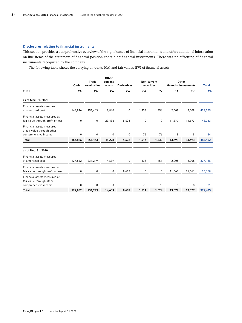#### Disclosures relating to financial instruments

This section provides a comprehensive overview of the significance of financial instruments and offers additional information on line items of the statement of financial position containing financial instruments. There was no offsetting of financial instruments recognized by the company.

The following table shows the carrying amounts (CA) and fair values (FV) of financial assets:

|                                                                                  | Cash    | <b>Trade</b><br>receivables | Other<br>current<br>assets | <b>Derivatives</b> | Non-current<br>securities |           | Other<br>financial investments | <b>Total</b> |           |
|----------------------------------------------------------------------------------|---------|-----------------------------|----------------------------|--------------------|---------------------------|-----------|--------------------------------|--------------|-----------|
| EUR k                                                                            | CA      | CA                          | CA                         | CA                 | CA                        | <b>FV</b> | CA                             | <b>FV</b>    | <b>CA</b> |
| as of Mar. 31, 2021                                                              |         |                             |                            |                    |                           |           |                                |              |           |
| Financial assets measured<br>at amortized cost                                   | 164,826 | 251,443                     | 18,860                     | $\mathbf 0$        | 1,438                     | 1,456     | 2,008                          | 2,008        | 438,575   |
| Financial assets measured at<br>fair value through profit or loss                | 0       | 0                           | 29,438                     | 5,628              | 0                         | 0         | 11,677                         | 11,677       | 46,743    |
| Financial assets measured<br>at fair value through other<br>comprehensive income | 0       | 0                           | $\mathbf 0$                | 0                  | 76                        | 76        | 8                              | 8            | 84        |
| <b>Total</b>                                                                     | 164,826 | 251,443                     | 48,298                     | 5,628              | 1,514                     | 1,532     | 13,693                         | 13,693       | 485,402   |
| as of Dec. 31, 2020                                                              |         |                             |                            |                    |                           |           |                                |              |           |
| Financial assets measured<br>at amortized cost                                   | 127,852 | 231,249                     | 14,639                     | 0                  | 1,438                     | 1,451     | 2,008                          | 2,008        | 377,186   |
| Financial assets measured at<br>fair value through profit or loss                | 0       | 0                           | 0                          | 8,607              | 0                         | 0         | 11,561                         | 11,561       | 20,168    |
| Financial assets measured at<br>fair value through other<br>comprehensive income | 0       | 0                           | 0                          | 0                  | 73                        | 73        | 8                              | 8            | 81        |
| <b>Total</b>                                                                     | 127,852 | 231,249                     | 14,639                     | 8,607              | 1,511                     | 1,524     | 13,577                         | 13,577       | 397,435   |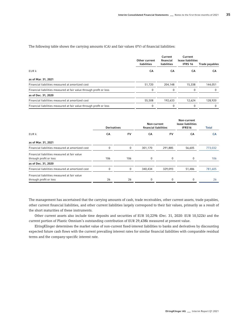The following table shows the carrying amounts (CA) and fair values (FV) of financial liabilities:

|                                                                     | Other current<br>liabilities | Current<br>financial<br>liabilities | Current<br>lease liabilities<br><b>IFRS 16</b> | <b>Trade payables</b> |
|---------------------------------------------------------------------|------------------------------|-------------------------------------|------------------------------------------------|-----------------------|
| EUR k                                                               | CА                           | CА                                  | CA                                             | CА                    |
| as of Mar. 31, 2021                                                 |                              |                                     |                                                |                       |
| Financial liabilities measured at amortized cost                    | 51,720                       | 204.148                             | 15,338                                         | 144,051               |
| Financial liabilities measured at fair value through profit or loss | $\Omega$                     | $\Omega$                            | $\Omega$                                       | <sup>0</sup>          |
| as of Dec. 31, 2020                                                 |                              |                                     |                                                |                       |
| Financial liabilities measured at amortized cost                    | 55,508                       | 192,633                             | 12,624                                         | 128,920               |
| Financial liabilities measured at fair value through profit or loss | 0                            |                                     | $\Omega$                                       |                       |

|                                                  | <b>Derivatives</b> |           | Non-current<br>financial liabilities |         | Non-current<br>lease liabilities<br>IFRS16 | Total   |  |
|--------------------------------------------------|--------------------|-----------|--------------------------------------|---------|--------------------------------------------|---------|--|
| EUR k                                            | CA                 | <b>FV</b> | CA                                   | FV      | CA                                         | CA      |  |
| as of Mar. 31, 2021                              |                    |           |                                      |         |                                            |         |  |
| Financial liabilities measured at amortized cost | $\Omega$           | 0         | 301,170                              | 291,885 | 56,605                                     | 773,032 |  |
| Financial liabilities measured at fair value     |                    |           |                                      |         |                                            |         |  |
| through profit or loss                           | 106                | 106       | 0                                    | 0       | 0                                          | 106     |  |
| as of Dec. 31, 2020                              |                    |           |                                      |         |                                            |         |  |
| Financial liabilities measured at amortized cost | $\Omega$           | 0         | 340,434                              | 329,093 | 51,486                                     | 781,605 |  |
| Financial liabilities measured at fair value     |                    |           |                                      |         |                                            |         |  |
| through profit or loss                           | 26                 | 26        | 0                                    | 0       | $\Omega$                                   | 26      |  |

The management has ascertained that the carrying amounts of cash, trade receivables, other current assets, trade payables, other current financial liabilities, and other current liabilities largely correspond to their fair values, primarily as a result of the short maturities of these instruments.

Other current assets also include time deposits and securities of EUR 10,229k (Dec. 31, 2020: EUR 10,522k) and the current portion of Plastic Omnium's outstanding contribution of EUR 29,438k measured at present value.

ElringKlinger determines the market value of non-current fixed-interest liabilities to banks and derivatives by discounting expected future cash flows with the current prevailing interest rates for similar financial liabilities with comparable residual terms and the company-specific interest rate.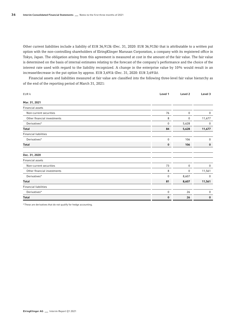Other current liabilities include a liability of EUR 36,913k (Dec. 31, 2020: EUR 36,913k) that is attributable to a written put option with the non-controlling shareholders of ElringKlinger Marusan Corporation, a company with its registered office in Tokyo, Japan. The obligation arising from this agreement is measured at cost in the amount of the fair value. The fair value is determined on the basis of internal estimates relating to the forecast of the company's performance and the choice of the interest rate used with regard to the liability recognized. A change in the enterprise value by 10% would result in an increase/decrease in the put option by approx. EUR 3,691k (Dec. 31, 2020: EUR 3,691k).

Financial assets and liabilities measured at fair value are classified into the following three-level fair value hierarchy as of the end of the reporting period of March 31, 2021:

| EUR k                        | Level 1 | Level 2  | Level 3     |
|------------------------------|---------|----------|-------------|
| Mar. 31, 2021                |         |          |             |
| Financial assets             |         |          |             |
| Non-current securities       | 76      | $\bf{0}$ | 0           |
| Other financial investments  | 8       | 0        | 11,677      |
| Derivatives*                 | 0       | 5,628    | $\mathbf 0$ |
| <b>Total</b>                 | 84      | 5,628    | 11,677      |
| <b>Financial liabilities</b> |         |          |             |
| Derivatives*                 | 0       | 106      | $\mathbf 0$ |
| Total                        | 0       | 106      | $\bf{0}$    |
| Dec. 31, 2020                |         |          |             |
| Financial assets             |         |          |             |
| Non-current securities       | 73      | $\bf{0}$ | $\mathbf 0$ |
| Other financial investments  | 8       | 0        | 11,561      |
| Derivatives*                 | 0       | 8,607    | $\mathbf 0$ |
| <b>Total</b>                 | 81      | 8,607    | 11,561      |
| <b>Financial liabilities</b> |         |          |             |
| Derivatives*                 | 0       | 26       | 0           |
| <b>Total</b>                 | 0       | 26       | $\bf{0}$    |

\*These are derivatives that do not qualify for hedge accounting.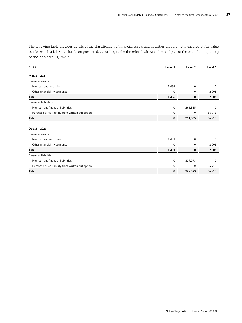The following table provides details of the classification of financial assets and liabilities that are not measured at fair value but for which a fair value has been presented, according to the three-level fair value hierarchy as of the end of the reporting period of March 31, 2021:

| EUR k                                            | Level 1     | Level 2   | Level 3     |
|--------------------------------------------------|-------------|-----------|-------------|
| Mar. 31, 2021                                    |             |           |             |
| Financial assets                                 |             |           |             |
| Non-current securities                           | 1,456       | 0         | 0           |
| Other financial investments                      | $\mathbf 0$ | 0         | 2,008       |
| <b>Total</b>                                     | 1,456       | 0         | 2,008       |
| <b>Financial liabilities</b>                     |             |           |             |
| Non-current financial liabilities                | $\bf{0}$    | 291,885   | $\mathbf 0$ |
| Purchase price liability from written put option | 0           | $\pmb{0}$ | 36,913      |
| <b>Total</b>                                     | 0           | 291,885   | 36,913      |
| Dec. 31, 2020                                    |             |           |             |
| Financial assets                                 |             |           |             |
| Non-current securities                           | 1,451       | 0         | 0           |
| Other financial investments                      | 0           | 0         | 2,008       |
| <b>Total</b>                                     | 1,451       | 0         | 2,008       |
| <b>Financial liabilities</b>                     |             |           |             |
| Non-current financial liabilities                | 0           | 329,093   | $\mathbf 0$ |
| Purchase price liability from written put option | 0           | 0         | 36,913      |
| <b>Total</b>                                     | $\bf{0}$    | 329,093   | 36,913      |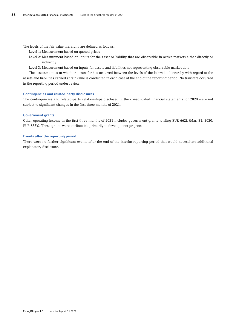The levels of the fair value hierarchy are defined as follows:

- Level 1: Measurement based on quoted prices
- Level 2: Measurement based on inputs for the asset or liability that are observable in active markets either directly or indirectly
- Level 3: Measurement based on inputs for assets and liabilities not representing observable market data

The assessment as to whether a transfer has occurred between the levels of the fair-value hierarchy with regard to the assets and liabilities carried at fair value is conducted in each case at the end of the reporting period. No transfers occurred in the reporting period under review.

#### Contingencies and related-party disclosures

The contingencies and related-party relationships disclosed in the consolidated financial statements for 2020 were not subject to significant changes in the first three months of 2021.

#### Government grants

Other operating income in the first three months of 2021 includes government grants totaling EUR 662k (Mar. 31, 2020: EUR 855k). These grants were attributable primarily to development projects.

#### Events after the reporting period

There were no further significant events after the end of the interim reporting period that would necessitate additional explanatory disclosure.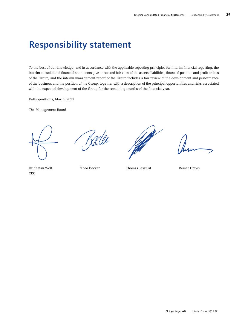### Responsibility statement

To the best of our knowledge, and in accordance with the applicable reporting principles for interim financial reporting, the interim consolidated financial statements give a true and fair view of the assets, liabilities, financial position and profit or loss of the Group, and the interim management report of the Group includes a fair review of the development and performance of the business and the position of the Group, together with a description of the principal opportunities and risks associated with the expected development of the Group for the remaining months of the financial year.

Dettingen/Erms, May 6, 2021

The Management Board



Delle



Dr. Stefan Wolf Theo Becker Thomas Jessulat Reiner Drews CEO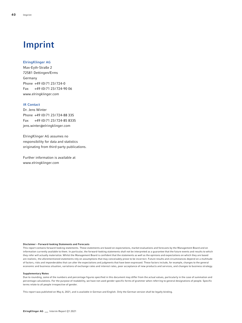# Imprint

#### ElringKlinger AG

Max-Eyth-Straße 2 72581 Dettingen/Erms Germany Phone +49 (0) 71 23/724-0 Fax +49 (0)71 23/724-90 06 [www.elringklinger.com](http://www.elringklinger.com)

#### IR Contact

Dr. Jens Winter Phone +49 (0) 71 23/724-88 335 Fax +49 (0)71 23/724-85 8335 jens.winter@elringklinger.com

ElringKlinger AG assumes no responsibility for data and statistics originating from third-party publications.

Further information is available at [www.elringklinger.com](http://www.elringklinger.com)

#### Disclaimer – Forward-looking Statements and Forecasts

This report contains forward-looking statements. These statements are based on expectations, market evaluations and forecasts by the Management Board and on information currently available to them. In particular, the forward-looking statements shall not be interpreted as a guarantee that the future events and results to which they refer will actually materialize. Whilst the Management Board is confident that the statements as well as the opinions and expectations on which they are based are realistic, the aforementioned statements rely on assumptions that may conceivably prove to be incorrect. Future results and circumstances depend on a multitude of factors, risks and imponderables that can alter the expectations and judgments that have been expressed. These factors include, for example, changes to the general economic and business situation, variations of exchange rates and interest rates, poor acceptance of new products and services, and changes to business strategy.

#### Supplementary Notes

Due to rounding, some of the numbers and percentage figures specified in this document may differ from the actual values, particularly in the case of summation and percentage calculations. For the purpose of readability, we have not used gender specific forms of grammer when referring to general designations of people. Specific terms relate to all people irrespective of gender.

This report was published on May 6, 2021, and is available in German and English. Only the German version shall be legally binding.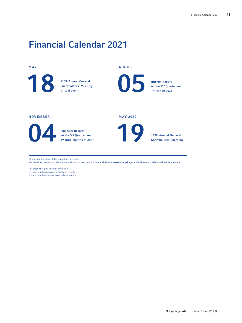## Financial Calendar 2021

#### MAY

116th Annual General<br>Shareholders' Meeting

Shareholders' Meeting, Virtual event

#### AUGUST

Interim Report<br>
on the 2<sup>nd</sup> Quar<br>
1<sup>st</sup> Half of 2021

#### NOVEMBER

Financial Results<br>on the 3rd Quarte<br>1st Nine Months

on the 3rd Quarter and 1st Nine Months of 2021



MAY 2022

Shareholders' Meeting

on the 2nd Quarter and 1st Half of 2021

Changes to the above dates cannot be ruled out.

We therefore recommend visiting our website to check specific financial dates at [www.elringklinger.de/en/investor-relations/financial-calendar](http://www.elringklinger.de/en/investor-relations/financial-calendar)

For trade fairs please visit our websites: [www.elringklinger.de/en/press/dates-events](http://www.elringklinger.de/en/press/dates-events ) [www.elring.de/en/press-events/dates-events](http://www.elring.de/en/press-events/dates-events)